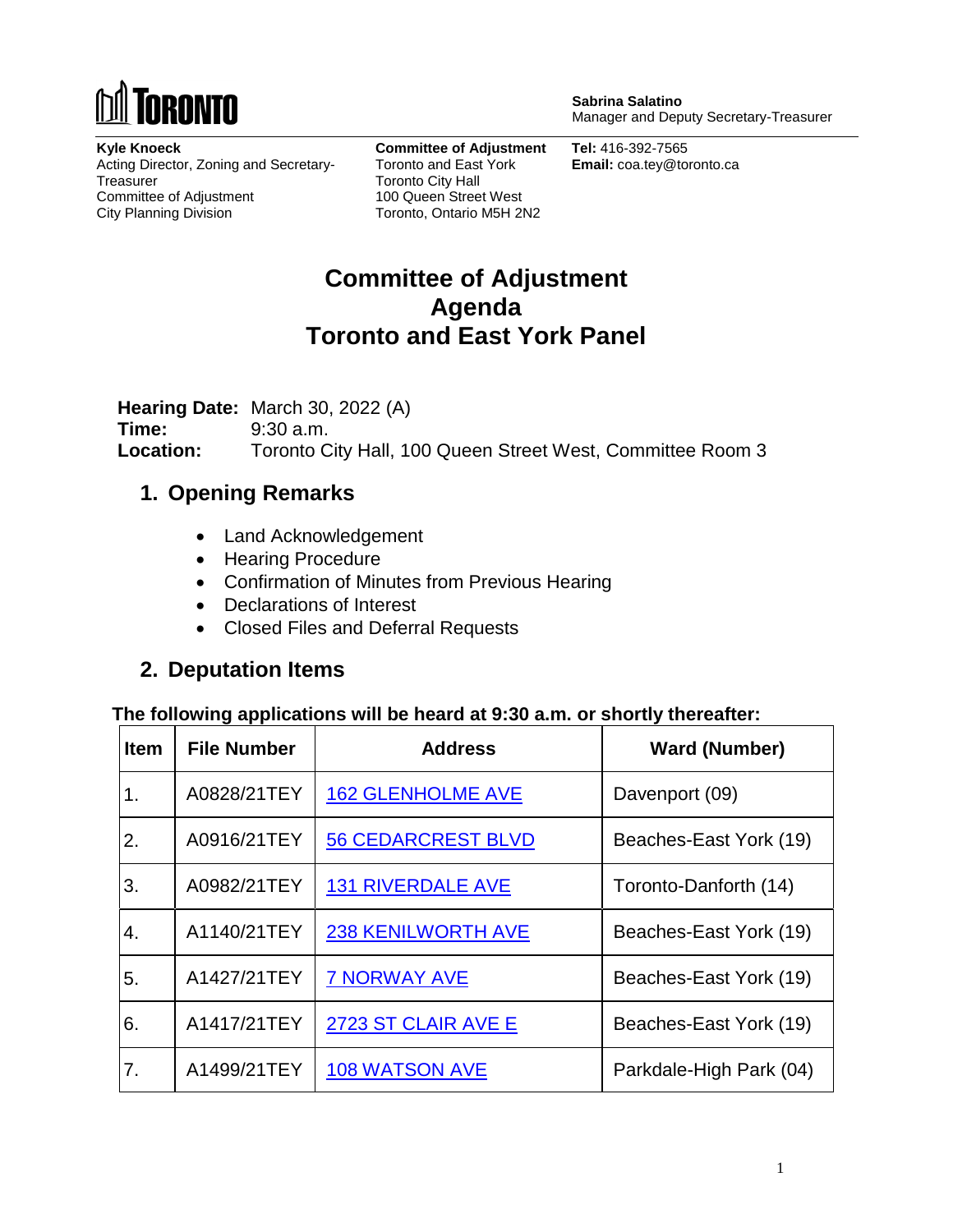

**Sabrina Salatino** Manager and Deputy Secretary-Treasurer

**Kyle Knoeck** Acting Director, Zoning and Secretary-**Treasurer** Committee of Adjustment City Planning Division

**Committee of Adjustment** Toronto and East York Toronto City Hall 100 Queen Street West Toronto, Ontario M5H 2N2

**Tel:** 416-392-7565 **Email:** coa.tey@toronto.ca

# **Committee of Adjustment Agenda Toronto and East York Panel**

**Hearing Date:** March 30, 2022 (A) **Time:** 9:30 a.m. **Location:** Toronto City Hall, 100 Queen Street West, Committee Room 3

#### **1. Opening Remarks**

- Land Acknowledgement
- Hearing Procedure
- Confirmation of Minutes from Previous Hearing
- Declarations of Interest
- Closed Files and Deferral Requests

#### **2. Deputation Items**

#### **The following applications will be heard at 9:30 a.m. or shortly thereafter:**

| <b>Item</b> | <b>File Number</b> | <b>Address</b>            | <b>Ward (Number)</b>    |
|-------------|--------------------|---------------------------|-------------------------|
| 1.          | A0828/21TEY        | <b>162 GLENHOLME AVE</b>  | Davenport (09)          |
| 2.          | A0916/21TEY        | <b>56 CEDARCREST BLVD</b> | Beaches-East York (19)  |
| 3.          | A0982/21TEY        | <b>131 RIVERDALE AVE</b>  | Toronto-Danforth (14)   |
| 4.          | A1140/21TEY        | <b>238 KENILWORTH AVE</b> | Beaches-East York (19)  |
| 5.          | A1427/21TEY        | <b>7 NORWAY AVE</b>       | Beaches-East York (19)  |
| 6.          | A1417/21TEY        | 2723 ST CLAIR AVE E       | Beaches-East York (19)  |
| 7.          | A1499/21TEY        | <b>108 WATSON AVE</b>     | Parkdale-High Park (04) |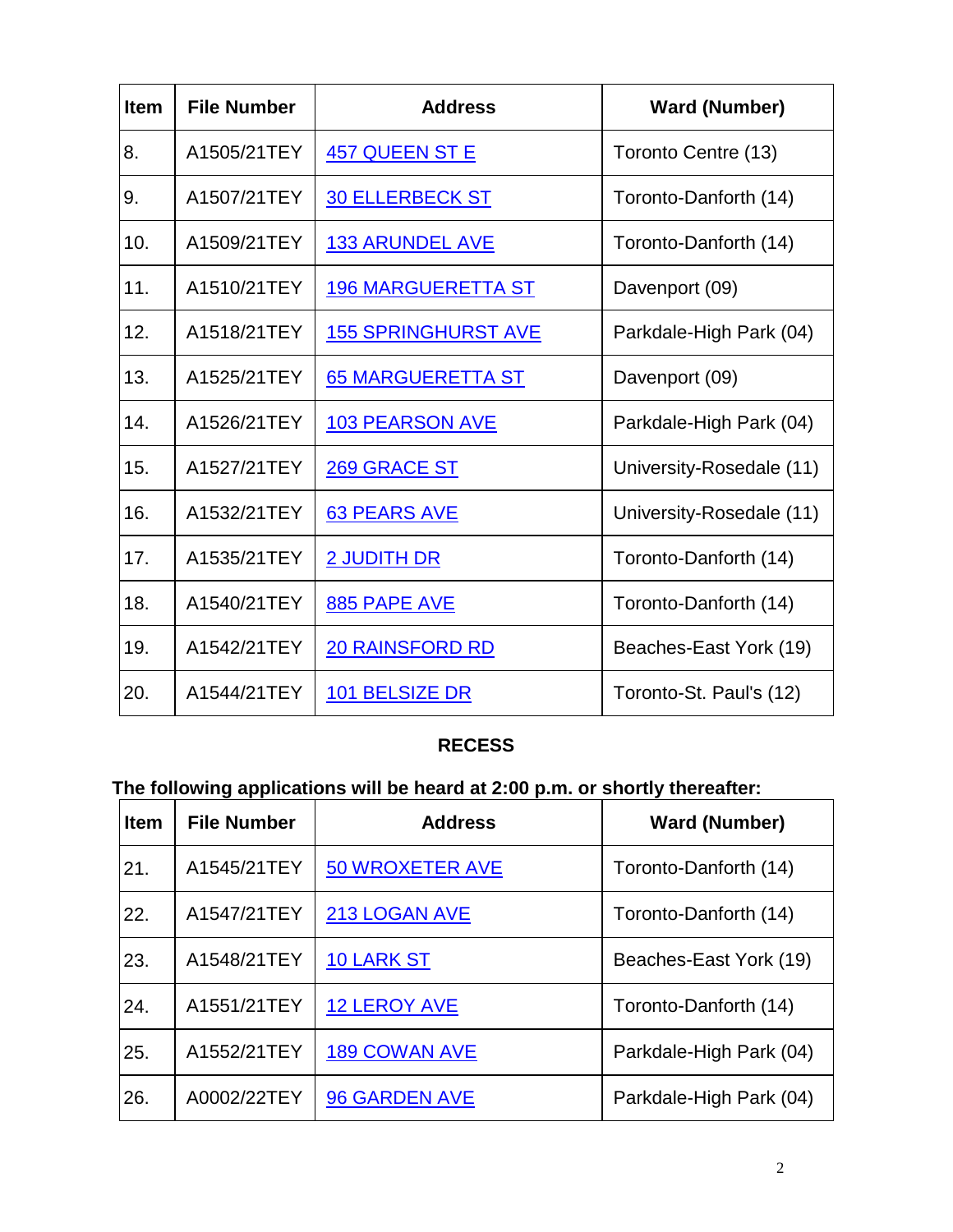| <b>Item</b> | <b>File Number</b> | <b>Address</b>             | <b>Ward (Number)</b>     |
|-------------|--------------------|----------------------------|--------------------------|
| 8.          | A1505/21TEY        | <b>457 QUEEN ST E</b>      | Toronto Centre (13)      |
| 9.          | A1507/21TEY        | <b>30 ELLERBECK ST</b>     | Toronto-Danforth (14)    |
| 10.         | A1509/21TEY        | <u>133 ARUNDEL AVE</u>     | Toronto-Danforth (14)    |
| 11.         | A1510/21TEY        | <b>196 MARGUERETTA ST</b>  | Davenport (09)           |
| 12.         | A1518/21TEY        | <b>155 SPRINGHURST AVE</b> | Parkdale-High Park (04)  |
| 13.         | A1525/21TEY        | <b>65 MARGUERETTA ST</b>   | Davenport (09)           |
| 14.         | A1526/21TEY        | <b>103 PEARSON AVE</b>     | Parkdale-High Park (04)  |
| 15.         | A1527/21TEY        | 269 GRACE ST               | University-Rosedale (11) |
| 16.         | A1532/21TEY        | 63 PEARS AVE               | University-Rosedale (11) |
| 17.         | A1535/21TEY        | 2 JUDITH DR                | Toronto-Danforth (14)    |
| 18.         | A1540/21TEY        | 885 PAPE AVE               | Toronto-Danforth (14)    |
| 19.         | A1542/21TEY        | <b>20 RAINSFORD RD</b>     | Beaches-East York (19)   |
| 20.         | A1544/21TEY        | 101 BELSIZE DR             | Toronto-St. Paul's (12)  |

#### **RECESS**

# **The following applications will be heard at 2:00 p.m. or shortly thereafter:**

| <b>Item</b> | <b>File Number</b> | <b>Address</b>         | <b>Ward (Number)</b>    |
|-------------|--------------------|------------------------|-------------------------|
| 21.         | A1545/21TEY        | <b>50 WROXETER AVE</b> | Toronto-Danforth (14)   |
| 22.         | A1547/21TEY        | 213 LOGAN AVE          | Toronto-Danforth (14)   |
| 23.         | A1548/21TEY        | 10 LARK ST             | Beaches-East York (19)  |
| 24.         | A1551/21TEY        | 12 LEROY AVE           | Toronto-Danforth (14)   |
| 25.         | A1552/21TEY        | <b>189 COWAN AVE</b>   | Parkdale-High Park (04) |
| 26.         | A0002/22TEY        | 96 GARDEN AVE          | Parkdale-High Park (04) |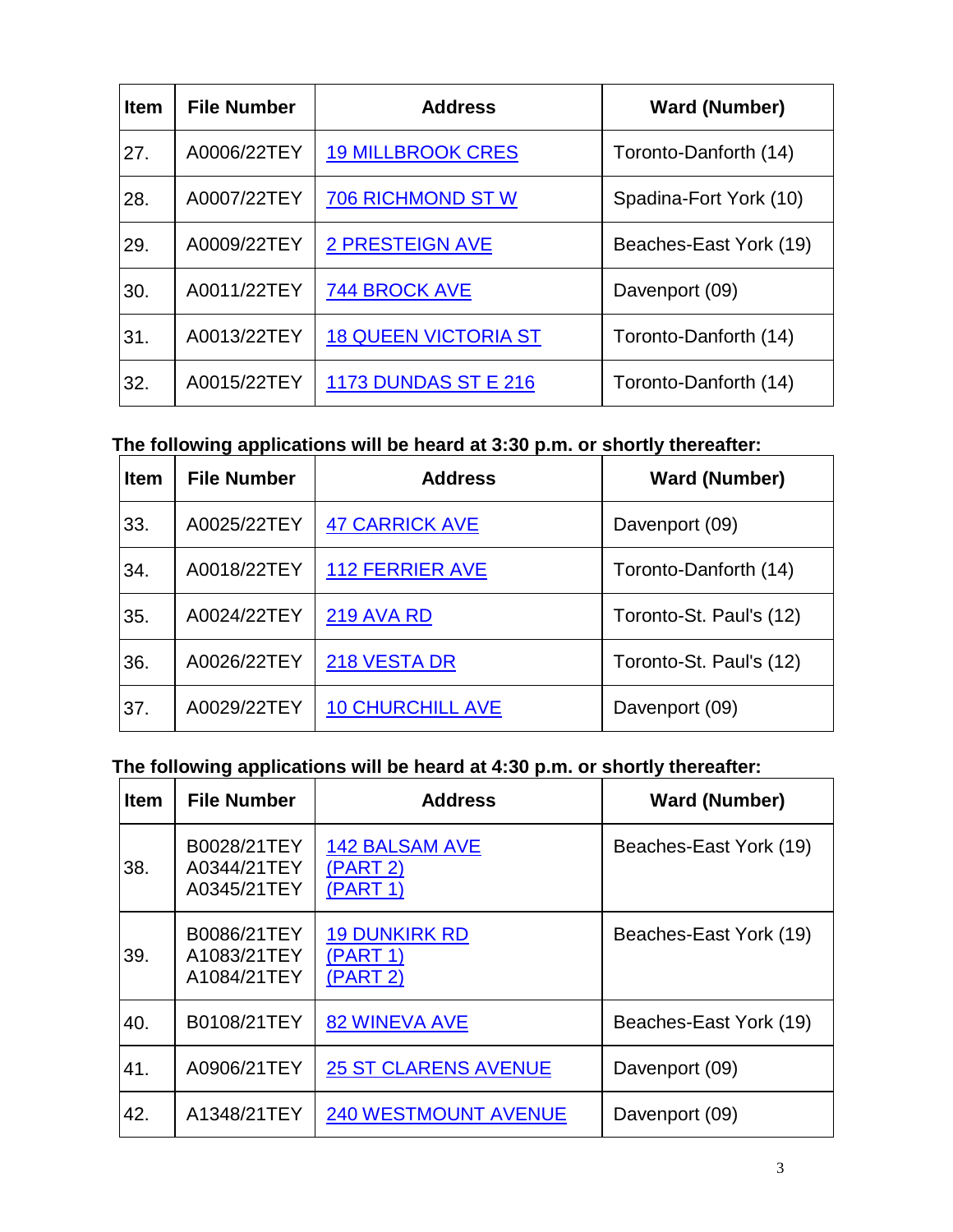| <b>Item</b> | <b>File Number</b> | <b>Address</b>              | <b>Ward (Number)</b>   |
|-------------|--------------------|-----------------------------|------------------------|
| 27.         | A0006/22TEY        | <b>19 MILLBROOK CRES</b>    | Toronto-Danforth (14)  |
| 28.         | A0007/22TEY        | <b>706 RICHMOND ST W</b>    | Spadina-Fort York (10) |
| 29.         | A0009/22TEY        | <b>2 PRESTEIGN AVE</b>      | Beaches-East York (19) |
| 30.         | A0011/22TEY        | 744 BROCK AVE               | Davenport (09)         |
| 31.         | A0013/22TEY        | <b>18 QUEEN VICTORIA ST</b> | Toronto-Danforth (14)  |
| 32.         | A0015/22TEY        | <b>1173 DUNDAS ST E 216</b> | Toronto-Danforth (14)  |

#### **The following applications will be heard at 3:30 p.m. or shortly thereafter:**

| <b>Item</b> | <b>File Number</b> | <b>Address</b>          | <b>Ward (Number)</b>    |
|-------------|--------------------|-------------------------|-------------------------|
| 33.         | A0025/22TEY        | <b>47 CARRICK AVE</b>   | Davenport (09)          |
| 34.         | A0018/22TEY        | <b>112 FERRIER AVE</b>  | Toronto-Danforth (14)   |
| 35.         | A0024/22TEY        | <b>219 AVA RD</b>       | Toronto-St. Paul's (12) |
| 36.         | A0026/22TEY        | 218 VESTA DR            | Toronto-St. Paul's (12) |
| 37.         | A0029/22TEY        | <b>10 CHURCHILL AVE</b> | Davenport (09)          |

### **The following applications will be heard at 4:30 p.m. or shortly thereafter:**

| <b>Item</b> | <b>File Number</b>                        | <b>Address</b>                                | <b>Ward (Number)</b>   |
|-------------|-------------------------------------------|-----------------------------------------------|------------------------|
| 38.         | B0028/21TEY<br>A0344/21TEY<br>A0345/21TEY | <b>142 BALSAM AVE</b><br>(PART 2)<br>(PART 1) | Beaches-East York (19) |
| 39.         | B0086/21TEY<br>A1083/21TEY<br>A1084/21TEY | <b>19 DUNKIRK RD</b><br>(PART 1)<br>(PART 2)  | Beaches-East York (19) |
| 40.         | B0108/21TEY                               | <b>82 WINEVA AVE</b>                          | Beaches-East York (19) |
| 41.         | A0906/21TEY                               | <b>25 ST CLARENS AVENUE</b>                   | Davenport (09)         |
| 42.         | A1348/21TEY                               | <b>240 WESTMOUNT AVENUE</b>                   | Davenport (09)         |